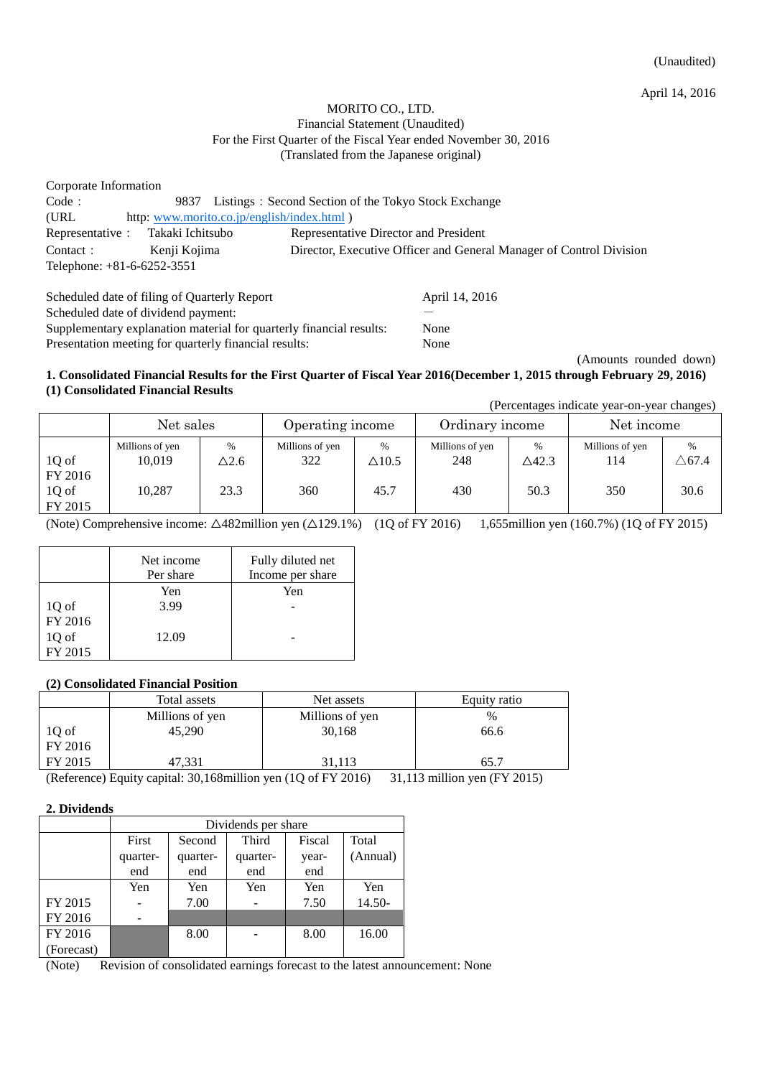April 14, 2016

## MORITO CO., LTD. Financial Statement (Unaudited) For the First Quarter of the Fiscal Year ended November 30, 2016 (Translated from the Japanese original)

| Corporate Information             |                                            |                                                                     |
|-----------------------------------|--------------------------------------------|---------------------------------------------------------------------|
| Code:                             | 9837                                       | Listings: Second Section of the Tokyo Stock Exchange                |
| (URL)                             | http: www.morito.co.jp/english/index.html) |                                                                     |
| Representative : Takaki Ichitsubo |                                            | Representative Director and President                               |
| Contact:                          | Kenji Kojima                               | Director, Executive Officer and General Manager of Control Division |
| Telephone: $+81-6-6252-3551$      |                                            |                                                                     |
|                                   |                                            |                                                                     |

| Scheduled date of filing of Quarterly Report                        | April 14, 2016 |
|---------------------------------------------------------------------|----------------|
| Scheduled date of dividend payment:                                 |                |
| Supplementary explanation material for quarterly financial results: | None           |
| Presentation meeting for quarterly financial results:               | None           |

(Amounts rounded down)

#### **1. Consolidated Financial Results for the First Quarter of Fiscal Year 2016(December 1, 2015 through February 29, 2016) (1) Consolidated Financial Results**

(Percentages indicate year-on-year changes)

|                  | Net sales                 |                     | Operating income       |                      | Ordinary income        |                          | Net income             |                          |
|------------------|---------------------------|---------------------|------------------------|----------------------|------------------------|--------------------------|------------------------|--------------------------|
| 1Q of<br>FY 2016 | Millions of yen<br>10.019 | $\%$<br>$\Delta2.6$ | Millions of yen<br>322 | $\%$<br>$\Delta10.5$ | Millions of yen<br>248 | $\%$<br>$\triangle$ 42.3 | Millions of yen<br>114 | $\%$<br>$\triangle 67.4$ |
| 1Q of<br>FY 2015 | 10.287                    | 23.3                | 360                    | 45.7                 | 430                    | 50.3                     | 350                    | 30.6                     |

(Note) Comprehensive income: △482million yen (△129.1%) (1Q of FY 2016) 1,655million yen (160.7%) (1Q of FY 2015)

|         | Net income | Fully diluted net |
|---------|------------|-------------------|
|         | Per share  | Income per share  |
|         | Yen        | Yen               |
| 1Q of   | 3.99       |                   |
| FY 2016 |            |                   |
| 1Q of   | 12.09      |                   |
| FY 2015 |            |                   |

#### **(2) Consolidated Financial Position**

|                  | Total assets    | Net assets      | Equity ratio |
|------------------|-----------------|-----------------|--------------|
|                  | Millions of yen | Millions of yen | $\%$         |
| 1Q of<br>FY 2016 | 45,290          | 30,168          | 66.6         |
| FY 2015          | 47,331          | 31,113          |              |

(Reference) Equity capital: 30,168million yen (1Q of FY 2016) 31,113 million yen (FY 2015)

# **2. Dividends**

|            | Dividends per share |          |          |        |          |
|------------|---------------------|----------|----------|--------|----------|
|            | First               | Second   | Third    | Fiscal | Total    |
|            | quarter-            | quarter- | quarter- | year-  | (Annual) |
|            | end                 | end      | end      | end    |          |
|            | Yen                 | Yen      | Yen      | Yen    | Yen      |
| FY 2015    |                     | 7.00     |          | 7.50   | $14.50-$ |
| FY 2016    |                     |          |          |        |          |
| FY 2016    |                     | 8.00     |          | 8.00   | 16.00    |
| (Forecast) |                     |          |          |        |          |

<sup>(</sup>Note) Revision of consolidated earnings forecast to the latest announcement: None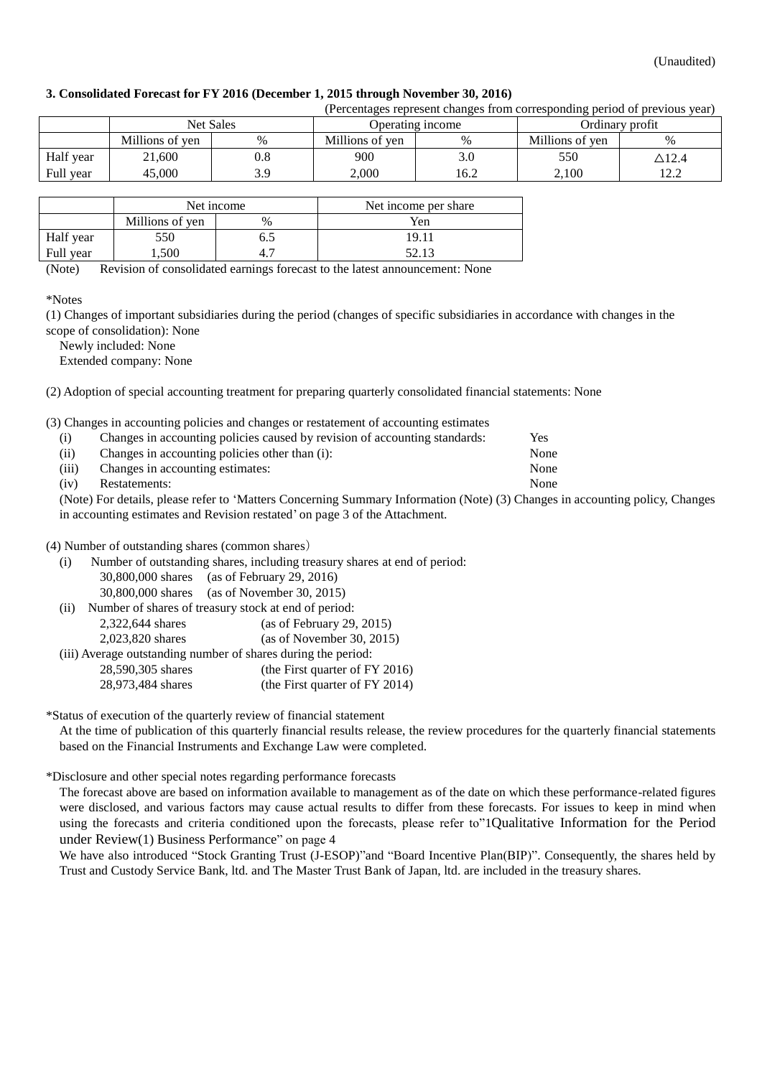## **3. Consolidated Forecast for FY 2016 (December 1, 2015 through November 30, 2016)**

| (Percentages represent changes from corresponding period of previous year) |                 |           |                  |      |                 |                  |
|----------------------------------------------------------------------------|-----------------|-----------|------------------|------|-----------------|------------------|
|                                                                            | Net Sales       |           | Operating income |      | Ordinary profit |                  |
|                                                                            | Millions of yen | %         | Millions of yen  | %    | Millions of yen | $\%$             |
| Half year                                                                  | 21,600          | $\rm 0.8$ | 900              | 3.0  | 550             | $\triangle$ 12.4 |
| Full year                                                                  | 45.000          | 3.9       | 2.000            | 16.2 | 2.100           | 122<br>14.Z      |
|                                                                            |                 |           |                  |      |                 |                  |

|           | Net income      |      | Net income per share |
|-----------|-----------------|------|----------------------|
|           | Millions of yen | $\%$ | Yen                  |
| Half year | 550             |      | 19.11                |
| Full year | . .500          |      | 52.13                |

(Note) Revision of consolidated earnings forecast to the latest announcement: None

(1) Changes of important subsidiaries during the period (changes of specific subsidiaries in accordance with changes in the scope of consolidation): None

Newly included: None

Extended company: None

(2) Adoption of special accounting treatment for preparing quarterly consolidated financial statements: None

(3) Changes in accounting policies and changes or restatement of accounting estimates

| (i)   | Changes in accounting policies caused by revision of accounting standards: | Yes  |
|-------|----------------------------------------------------------------------------|------|
| (ii)  | Changes in accounting policies other than (i):                             | None |
| (iii) | Changes in accounting estimates:                                           | None |
| (iv)  | Restatements:                                                              | None |
|       |                                                                            |      |

(Note) For details, please refer to 'Matters Concerning Summary Information (Note) (3) Changes in accounting policy, Changes in accounting estimates and Revision restated' on page 3 of the Attachment.

#### (4) Number of outstanding shares (common shares)

| (i)  | Number of outstanding shares, including treasury shares at end of period: |                                                      |  |
|------|---------------------------------------------------------------------------|------------------------------------------------------|--|
|      |                                                                           | 30,800,000 shares (as of February 29, 2016)          |  |
|      |                                                                           | 30,800,000 shares (as of November 30, 2015)          |  |
| (ii) |                                                                           | Number of shares of treasury stock at end of period: |  |
|      | 2,322,644 shares                                                          | (as of February 29, 2015)                            |  |
|      | 2,023,820 shares                                                          | (as of November 30, 2015)                            |  |

| (iii) Average outstanding number of shares during the period: |                                |
|---------------------------------------------------------------|--------------------------------|
| 28,590,305 shares                                             | (the First quarter of FY 2016) |

| $20,00,000$ similar | $(1.001 \text{ m/s})$ quarter of 1 1 2010) |
|---------------------|--------------------------------------------|
| 28,973,484 shares   | (the First quarter of FY 2014)             |

\*Status of execution of the quarterly review of financial statement

At the time of publication of this quarterly financial results release, the review procedures for the quarterly financial statements based on the Financial Instruments and Exchange Law were completed.

#### \*Disclosure and other special notes regarding performance forecasts

The forecast above are based on information available to management as of the date on which these performance-related figures were disclosed, and various factors may cause actual results to differ from these forecasts. For issues to keep in mind when using the forecasts and criteria conditioned upon the forecasts, please refer to["1](#page-3-0)[Qualitative Information for the Period](#page-3-0)  [under Review](#page-3-0)[\(1\) Business Performance](#page-3-0)" on page 4

We have also introduced "Stock Granting Trust (J-ESOP)" and "Board Incentive Plan(BIP)". Consequently, the shares held by Trust and Custody Service Bank, ltd. and The Master Trust Bank of Japan, ltd. are included in the treasury shares.

<sup>\*</sup>Notes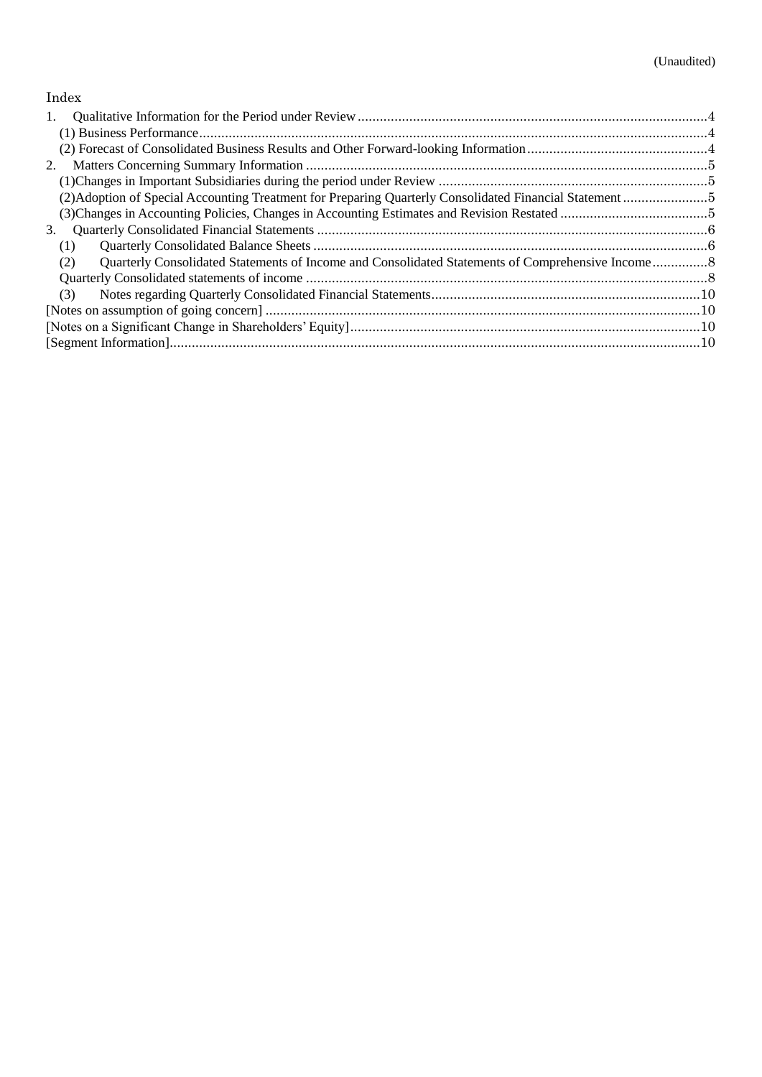# Index

| 1.  |  |
|-----|--|
|     |  |
|     |  |
| 2.  |  |
|     |  |
|     |  |
|     |  |
| 3.  |  |
| (1) |  |
| (2) |  |
|     |  |
| (3) |  |
|     |  |
|     |  |
|     |  |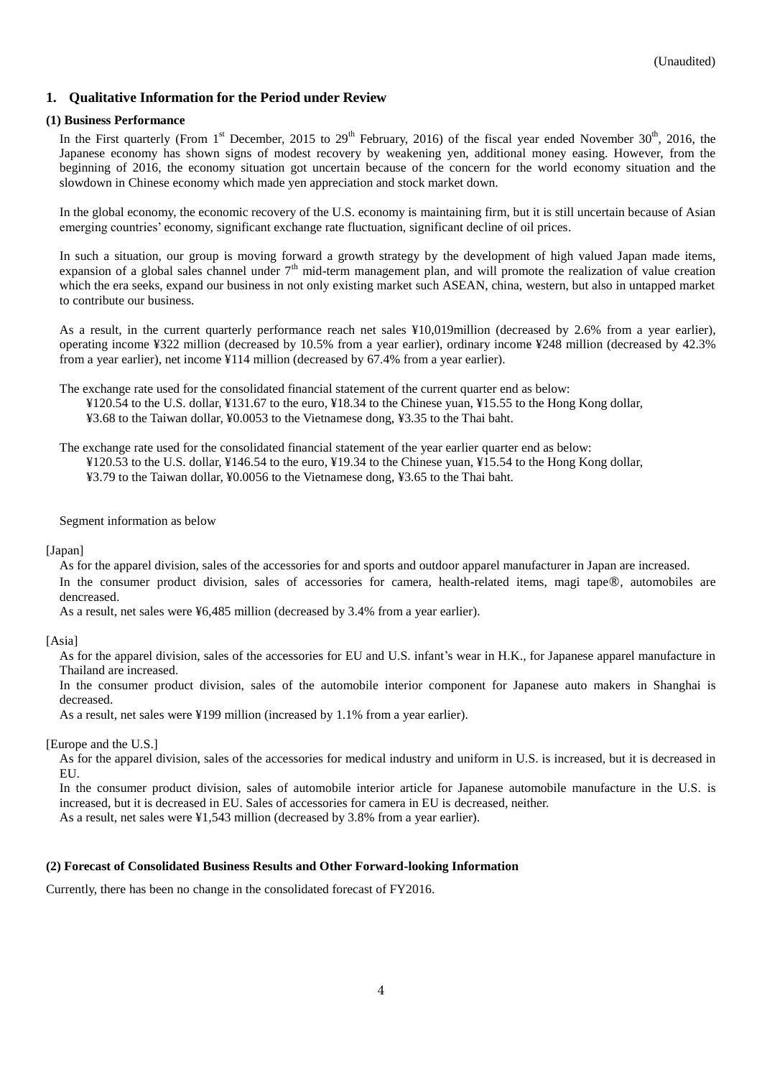# <span id="page-3-0"></span>**1. Qualitative Information for the Period under Review**

#### <span id="page-3-1"></span>**(1) Business Performance**

In the First quarterly (From 1<sup>st</sup> December, 2015 to 29<sup>th</sup> February, 2016) of the fiscal year ended November 30<sup>th</sup>, 2016, the Japanese economy has shown signs of modest recovery by weakening yen, additional money easing. However, from the beginning of 2016, the economy situation got uncertain because of the concern for the world economy situation and the slowdown in Chinese economy which made yen appreciation and stock market down.

In the global economy, the economic recovery of the U.S. economy is maintaining firm, but it is still uncertain because of Asian emerging countries' economy, significant exchange rate fluctuation, significant decline of oil prices.

In such a situation, our group is moving forward a growth strategy by the development of high valued Japan made items, expansion of a global sales channel under  $7<sup>th</sup>$  mid-term management plan, and will promote the realization of value creation which the era seeks, expand our business in not only existing market such ASEAN, china, western, but also in untapped market to contribute our business.

As a result, in the current quarterly performance reach net sales ¥10,019million (decreased by 2.6% from a year earlier), operating income ¥322 million (decreased by 10.5% from a year earlier), ordinary income ¥248 million (decreased by 42.3% from a year earlier), net income ¥114 million (decreased by 67.4% from a year earlier).

The exchange rate used for the consolidated financial statement of the current quarter end as below: ¥120.54 to the U.S. dollar, ¥131.67 to the euro, ¥18.34 to the Chinese yuan, ¥15.55 to the Hong Kong dollar, ¥3.68 to the Taiwan dollar, ¥0.0053 to the Vietnamese dong, ¥3.35 to the Thai baht.

The exchange rate used for the consolidated financial statement of the year earlier quarter end as below: ¥120.53 to the U.S. dollar, ¥146.54 to the euro, ¥19.34 to the Chinese yuan, ¥15.54 to the Hong Kong dollar, ¥3.79 to the Taiwan dollar, ¥0.0056 to the Vietnamese dong, ¥3.65 to the Thai baht.

Segment information as below

#### [Japan]

As for the apparel division, sales of the accessories for and sports and outdoor apparel manufacturer in Japan are increased. In the consumer product division, sales of accessories for camera, health-related items, magi tape®, automobiles are dencreased.

As a result, net sales were ¥6,485 million (decreased by 3.4% from a year earlier).

[Asia]

As for the apparel division, sales of the accessories for EU and U.S. infant's wear in H.K., for Japanese apparel manufacture in Thailand are increased.

In the consumer product division, sales of the automobile interior component for Japanese auto makers in Shanghai is decreased.

As a result, net sales were ¥199 million (increased by 1.1% from a year earlier).

#### [Europe and the U.S.]

As for the apparel division, sales of the accessories for medical industry and uniform in U.S. is increased, but it is decreased in EU.

In the consumer product division, sales of automobile interior article for Japanese automobile manufacture in the U.S. is increased, but it is decreased in EU. Sales of accessories for camera in EU is decreased, neither.

As a result, net sales were ¥1,543 million (decreased by 3.8% from a year earlier).

#### <span id="page-3-2"></span>**(2) Forecast of Consolidated Business Results and Other Forward-looking Information**

Currently, there has been no change in the consolidated forecast of FY2016.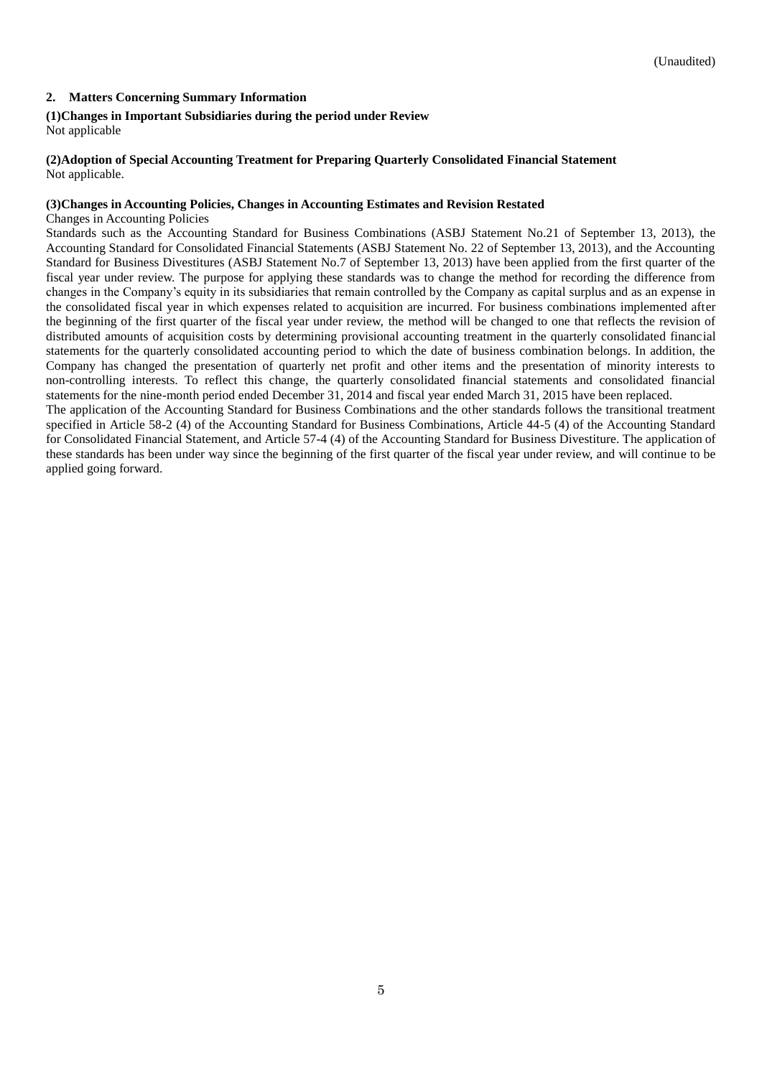## <span id="page-4-0"></span>**2. Matters Concerning Summary Information**

# <span id="page-4-1"></span>**(1)Changes in Important Subsidiaries during the period under Review**

Not applicable

#### <span id="page-4-2"></span>**(2)Adoption of Special Accounting Treatment for Preparing Quarterly Consolidated Financial Statement** Not applicable.

#### <span id="page-4-3"></span>**(3)Changes in Accounting Policies, Changes in Accounting Estimates and Revision Restated**

Changes in Accounting Policies

Standards such as the Accounting Standard for Business Combinations (ASBJ Statement No.21 of September 13, 2013), the Accounting Standard for Consolidated Financial Statements (ASBJ Statement No. 22 of September 13, 2013), and the Accounting Standard for Business Divestitures (ASBJ Statement No.7 of September 13, 2013) have been applied from the first quarter of the fiscal year under review. The purpose for applying these standards was to change the method for recording the difference from changes in the Company's equity in its subsidiaries that remain controlled by the Company as capital surplus and as an expense in the consolidated fiscal year in which expenses related to acquisition are incurred. For business combinations implemented after the beginning of the first quarter of the fiscal year under review, the method will be changed to one that reflects the revision of distributed amounts of acquisition costs by determining provisional accounting treatment in the quarterly consolidated financial statements for the quarterly consolidated accounting period to which the date of business combination belongs. In addition, the Company has changed the presentation of quarterly net profit and other items and the presentation of minority interests to non-controlling interests. To reflect this change, the quarterly consolidated financial statements and consolidated financial statements for the nine-month period ended December 31, 2014 and fiscal year ended March 31, 2015 have been replaced.

The application of the Accounting Standard for Business Combinations and the other standards follows the transitional treatment specified in Article 58-2 (4) of the Accounting Standard for Business Combinations, Article 44-5 (4) of the Accounting Standard for Consolidated Financial Statement, and Article 57-4 (4) of the Accounting Standard for Business Divestiture. The application of these standards has been under way since the beginning of the first quarter of the fiscal year under review, and will continue to be applied going forward.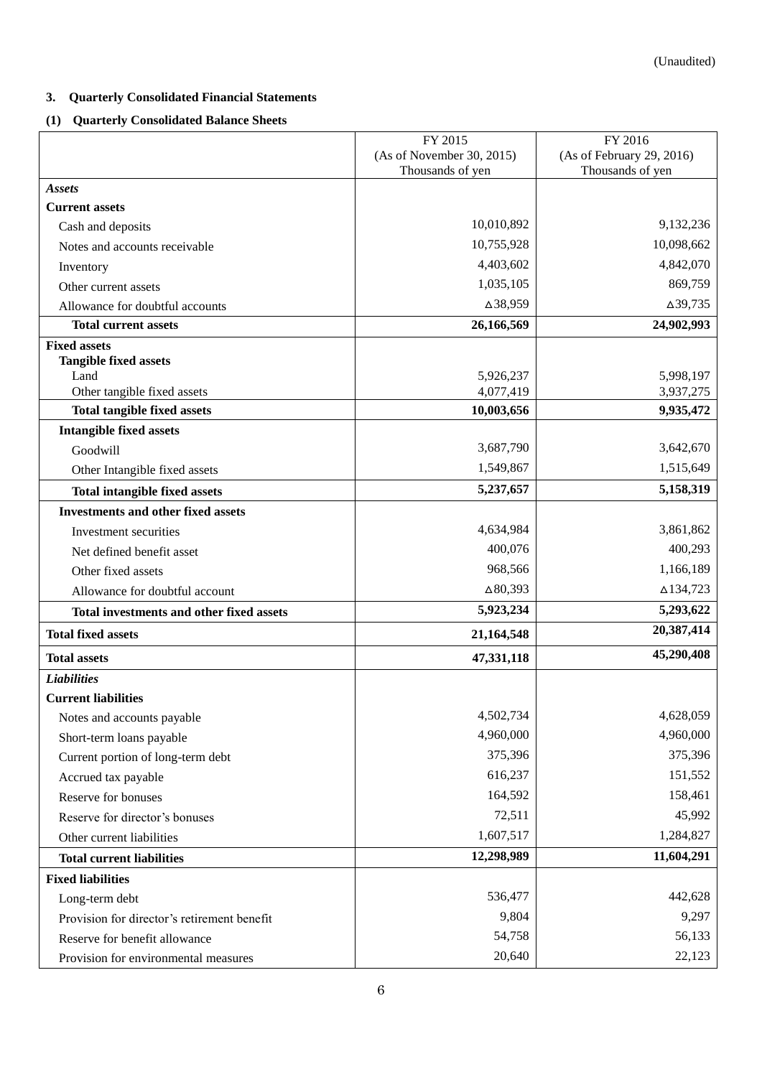# <span id="page-5-0"></span>**3. Quarterly Consolidated Financial Statements**

# <span id="page-5-1"></span>**(1) Quarterly Consolidated Balance Sheets**

|                                             | FY 2015                   | FY 2016                   |  |
|---------------------------------------------|---------------------------|---------------------------|--|
|                                             | (As of November 30, 2015) | (As of February 29, 2016) |  |
|                                             | Thousands of yen          | Thousands of yen          |  |
| <b>Assets</b>                               |                           |                           |  |
| <b>Current assets</b>                       | 10,010,892                | 9,132,236                 |  |
| Cash and deposits                           | 10,755,928                | 10,098,662                |  |
| Notes and accounts receivable               |                           | 4,842,070                 |  |
| Inventory                                   | 4,403,602                 |                           |  |
| Other current assets                        | 1,035,105                 | 869,759                   |  |
| Allowance for doubtful accounts             | △38,959                   | $\Delta$ 39,735           |  |
| <b>Total current assets</b>                 | 26,166,569                | 24,902,993                |  |
| <b>Fixed assets</b>                         |                           |                           |  |
| <b>Tangible fixed assets</b><br>Land        | 5,926,237                 | 5,998,197                 |  |
| Other tangible fixed assets                 | 4,077,419                 | 3,937,275                 |  |
| <b>Total tangible fixed assets</b>          | 10,003,656                | 9,935,472                 |  |
| <b>Intangible fixed assets</b>              |                           |                           |  |
| Goodwill                                    | 3,687,790                 | 3,642,670                 |  |
| Other Intangible fixed assets               | 1,549,867                 | 1,515,649                 |  |
| <b>Total intangible fixed assets</b>        | 5,237,657                 | 5,158,319                 |  |
| <b>Investments and other fixed assets</b>   |                           |                           |  |
| Investment securities                       | 4,634,984                 | 3,861,862                 |  |
| Net defined benefit asset                   | 400,076                   | 400,293                   |  |
| Other fixed assets                          | 968,566                   | 1,166,189                 |  |
|                                             | $\Delta 80,393$           | $\Delta$ 134,723          |  |
| Allowance for doubtful account              |                           | 5,293,622                 |  |
| Total investments and other fixed assets    | 5,923,234                 | 20,387,414                |  |
| <b>Total fixed assets</b>                   | 21,164,548                |                           |  |
| <b>Total assets</b>                         | 47,331,118                | 45,290,408                |  |
| <b>Liabilities</b>                          |                           |                           |  |
| <b>Current liabilities</b>                  |                           |                           |  |
| Notes and accounts payable                  | 4,502,734                 | 4,628,059                 |  |
| Short-term loans payable                    | 4,960,000                 | 4,960,000                 |  |
| Current portion of long-term debt           | 375,396                   | 375,396                   |  |
| Accrued tax payable                         | 616,237                   | 151,552                   |  |
| Reserve for bonuses                         | 164,592                   | 158,461                   |  |
| Reserve for director's bonuses              | 72,511                    | 45,992                    |  |
| Other current liabilities                   | 1,607,517                 | 1,284,827                 |  |
| <b>Total current liabilities</b>            | 12,298,989                | 11,604,291                |  |
| <b>Fixed liabilities</b>                    |                           |                           |  |
| Long-term debt                              | 536,477                   | 442,628                   |  |
| Provision for director's retirement benefit | 9,804                     | 9,297                     |  |
| Reserve for benefit allowance               | 54,758                    | 56,133                    |  |
| Provision for environmental measures        | 20,640                    | 22,123                    |  |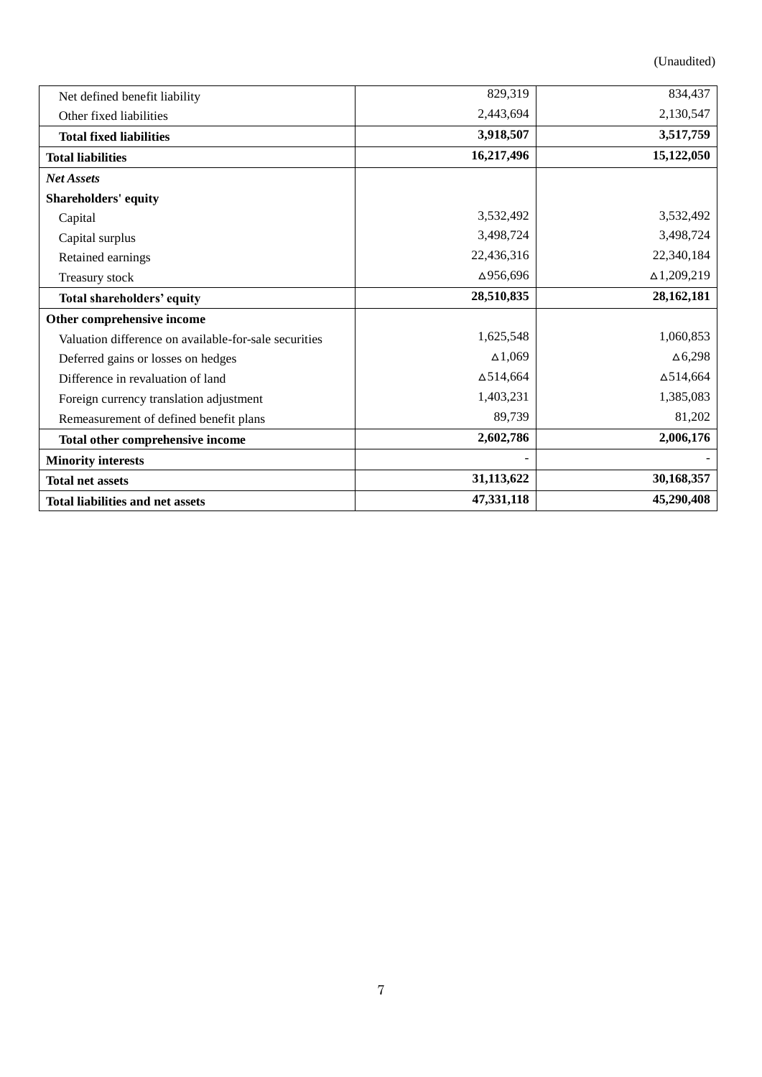(Unaudited)

| Net defined benefit liability                         | 829,319          | 834,437            |
|-------------------------------------------------------|------------------|--------------------|
| Other fixed liabilities                               | 2,443,694        | 2,130,547          |
| <b>Total fixed liabilities</b>                        | 3,918,507        | 3,517,759          |
| <b>Total liabilities</b>                              | 16,217,496       | 15,122,050         |
| <b>Net Assets</b>                                     |                  |                    |
| Shareholders' equity                                  |                  |                    |
| Capital                                               | 3,532,492        | 3,532,492          |
| Capital surplus                                       | 3,498,724        | 3,498,724          |
| Retained earnings                                     | 22,436,316       | 22,340,184         |
| Treasury stock                                        | ∆956,696         | $\Delta$ 1,209,219 |
| Total shareholders' equity                            | 28,510,835       | 28,162,181         |
| Other comprehensive income                            |                  |                    |
| Valuation difference on available-for-sale securities | 1,625,548        | 1,060,853          |
| Deferred gains or losses on hedges                    | $\Delta 1,069$   | $\Delta 6,298$     |
| Difference in revaluation of land                     | $\Delta$ 514,664 | $\Delta$ 514,664   |
| Foreign currency translation adjustment               | 1,403,231        | 1,385,083          |
| Remeasurement of defined benefit plans                | 89,739           | 81,202             |
| Total other comprehensive income                      | 2,602,786        | 2,006,176          |
| <b>Minority interests</b>                             |                  |                    |
| <b>Total net assets</b>                               | 31,113,622       | 30,168,357         |
| <b>Total liabilities and net assets</b>               | 47,331,118       | 45,290,408         |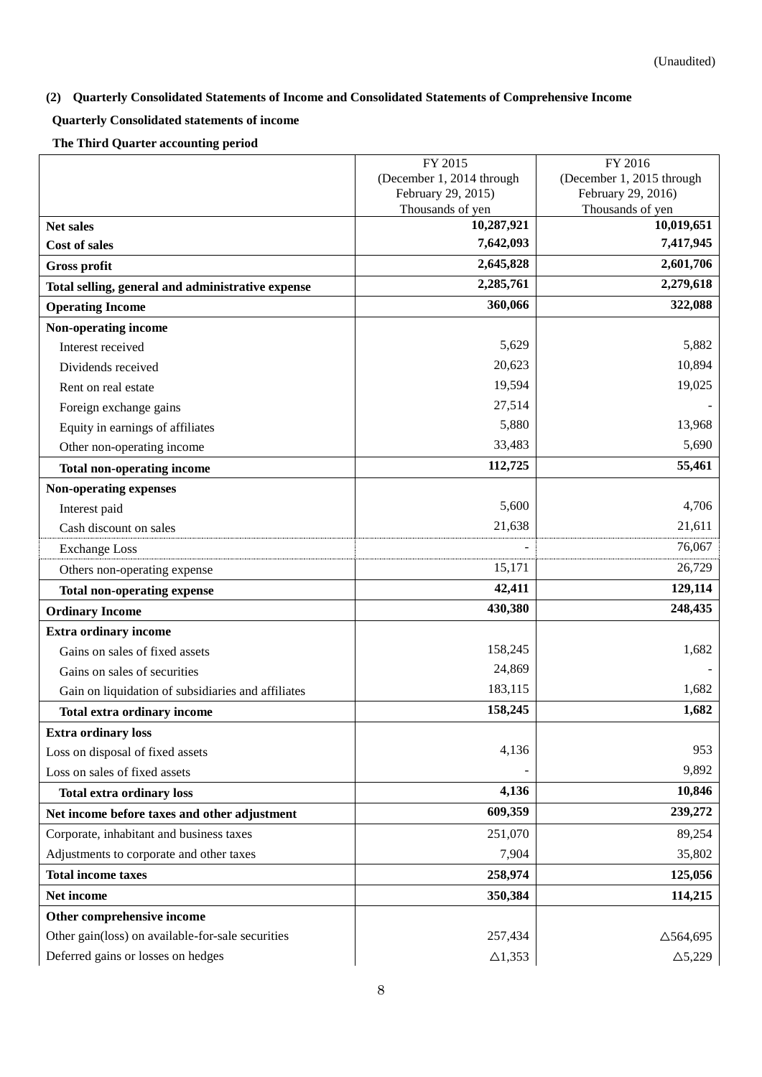# <span id="page-7-0"></span>**(2) Quarterly Consolidated Statements of Income and Consolidated Statements of Comprehensive Income**

# <span id="page-7-1"></span>**Quarterly Consolidated statements of income**

**The Third Quarter accounting period**

|                                                    | FY 2015                                                | FY 2016                                |  |
|----------------------------------------------------|--------------------------------------------------------|----------------------------------------|--|
|                                                    | (December 1, 2014 through<br>(December 1, 2015 through |                                        |  |
|                                                    | February 29, 2015)<br>Thousands of yen                 | February 29, 2016)<br>Thousands of yen |  |
| <b>Net sales</b>                                   | 10,287,921                                             | 10,019,651                             |  |
| <b>Cost of sales</b>                               | 7,642,093                                              | 7,417,945                              |  |
| <b>Gross profit</b>                                | 2,645,828                                              | 2,601,706                              |  |
| Total selling, general and administrative expense  | 2,285,761                                              | 2,279,618                              |  |
| <b>Operating Income</b>                            | 360,066                                                | 322,088                                |  |
| Non-operating income                               |                                                        |                                        |  |
| Interest received                                  | 5,629                                                  | 5,882                                  |  |
| Dividends received                                 | 20,623                                                 | 10,894                                 |  |
| Rent on real estate                                | 19,594                                                 | 19,025                                 |  |
| Foreign exchange gains                             | 27,514                                                 |                                        |  |
| Equity in earnings of affiliates                   | 5,880                                                  | 13,968                                 |  |
| Other non-operating income                         | 33,483                                                 | 5,690                                  |  |
| <b>Total non-operating income</b>                  | 112,725                                                | 55,461                                 |  |
| Non-operating expenses                             |                                                        |                                        |  |
| Interest paid                                      | 5,600                                                  | 4,706                                  |  |
| Cash discount on sales                             | 21,638                                                 | 21,611                                 |  |
| <b>Exchange Loss</b>                               |                                                        | 76,067                                 |  |
| Others non-operating expense                       | 15,171                                                 | 26,729                                 |  |
| <b>Total non-operating expense</b>                 | 42,411                                                 | 129,114                                |  |
| <b>Ordinary Income</b>                             | 430,380                                                | 248,435                                |  |
| <b>Extra ordinary income</b>                       |                                                        |                                        |  |
| Gains on sales of fixed assets                     | 158,245                                                | 1,682                                  |  |
| Gains on sales of securities                       | 24,869                                                 |                                        |  |
| Gain on liquidation of subsidiaries and affiliates | 183,115                                                | 1,682                                  |  |
| <b>Total extra ordinary income</b>                 | 158,245                                                | 1,682                                  |  |
| <b>Extra ordinary loss</b>                         |                                                        |                                        |  |
| Loss on disposal of fixed assets                   | 4,136                                                  | 953                                    |  |
| Loss on sales of fixed assets                      |                                                        | 9,892                                  |  |
| <b>Total extra ordinary loss</b>                   | 4,136                                                  | 10,846                                 |  |
| Net income before taxes and other adjustment       | 609,359                                                | 239,272                                |  |
| Corporate, inhabitant and business taxes           | 251,070                                                | 89,254                                 |  |
| Adjustments to corporate and other taxes           | 7,904                                                  | 35,802                                 |  |
| <b>Total income taxes</b>                          | 258,974                                                | 125,056                                |  |
| Net income                                         | 350,384                                                | 114,215                                |  |
| Other comprehensive income                         |                                                        |                                        |  |
| Other gain(loss) on available-for-sale securities  | 257,434                                                | $\triangle$ 564,695                    |  |
| Deferred gains or losses on hedges                 | $\triangle$ 1,353                                      | $\triangle 5,229$                      |  |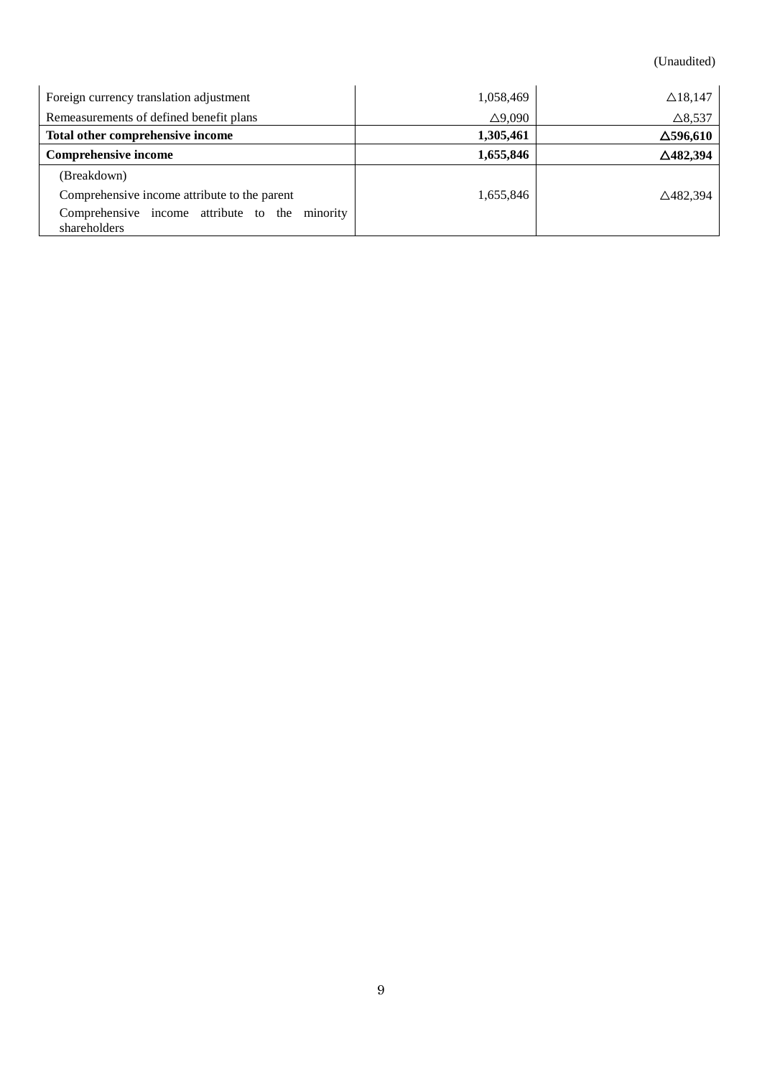(Unaudited)

| Foreign currency translation adjustment                        | 1,058,469         | $\triangle$ 18,147  |
|----------------------------------------------------------------|-------------------|---------------------|
| Remeasurements of defined benefit plans                        | $\triangle$ 9,090 | $\triangle$ 8,537   |
| Total other comprehensive income                               | 1,305,461         | $\Delta$ 596,610    |
| <b>Comprehensive income</b>                                    | 1,655,846         | $\triangle$ 482,394 |
| (Breakdown)                                                    |                   |                     |
| Comprehensive income attribute to the parent                   | 1,655,846         | $\triangle$ 482,394 |
| Comprehensive income attribute to the minority<br>shareholders |                   |                     |